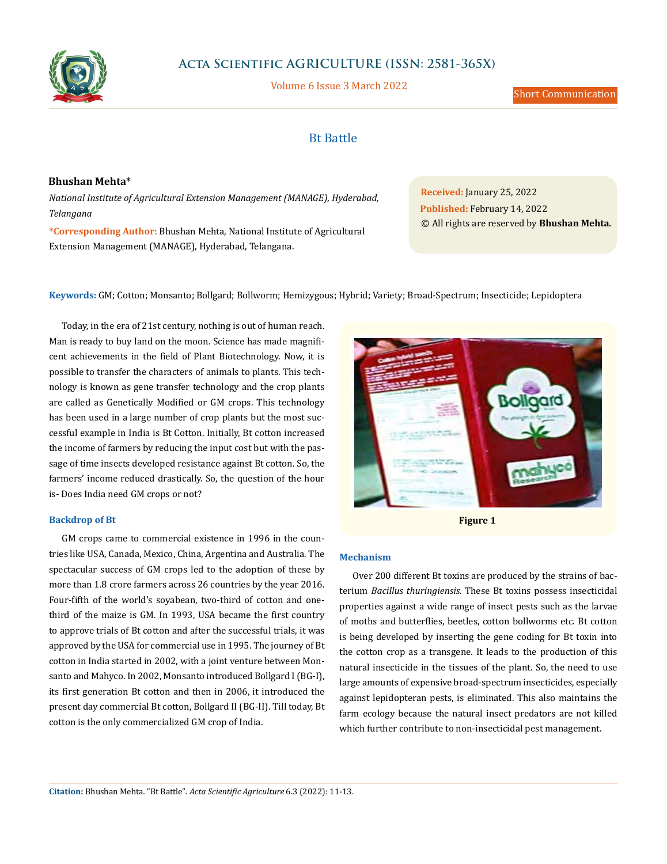

# **Acta Scientific AGRICULTURE (ISSN: 2581-365X)**

Volume 6 Issue 3 March 2022

Short Communication

# Bt Battle

### **Bhushan Mehta\***

*National Institute of Agricultural Extension Management (MANAGE), Hyderabad, Telangana*

**\*Corresponding Author:** Bhushan Mehta, National Institute of Agricultural Extension Management (MANAGE), Hyderabad, Telangana.

**Received:** January 25, 2022 **Published:** February 14, 2022 © All rights are reserved by **Bhushan Mehta***.*

**Keywords:** GM; Cotton; Monsanto; Bollgard; Bollworm; Hemizygous; Hybrid; Variety; Broad-Spectrum; Insecticide; Lepidoptera

Today, in the era of 21st century, nothing is out of human reach. Man is ready to buy land on the moon. Science has made magnificent achievements in the field of Plant Biotechnology. Now, it is possible to transfer the characters of animals to plants. This technology is known as gene transfer technology and the crop plants are called as Genetically Modified or GM crops. This technology has been used in a large number of crop plants but the most successful example in India is Bt Cotton. Initially, Bt cotton increased the income of farmers by reducing the input cost but with the passage of time insects developed resistance against Bt cotton. So, the farmers' income reduced drastically. So, the question of the hour is- Does India need GM crops or not?

### **Backdrop of Bt**

GM crops came to commercial existence in 1996 in the countries like USA, Canada, Mexico, China, Argentina and Australia. The spectacular success of GM crops led to the adoption of these by more than 1.8 crore farmers across 26 countries by the year 2016. Four-fifth of the world's soyabean, two-third of cotton and onethird of the maize is GM. In 1993, USA became the first country to approve trials of Bt cotton and after the successful trials, it was approved by the USA for commercial use in 1995. The journey of Bt cotton in India started in 2002, with a joint venture between Monsanto and Mahyco. In 2002, Monsanto introduced Bollgard I (BG-I), its first generation Bt cotton and then in 2006, it introduced the present day commercial Bt cotton, Bollgard II (BG-II). Till today, Bt cotton is the only commercialized GM crop of India.



**Figure 1**

## **Mechanism**

Over 200 different Bt toxins are produced by the strains of bacterium *Bacillus thuringiensis.* These Bt toxins possess insecticidal properties against a wide range of insect pests such as the larvae of moths and butterflies, beetles, cotton bollworms etc. Bt cotton is being developed by inserting the gene coding for Bt toxin into the cotton crop as a transgene. It leads to the production of this natural insecticide in the tissues of the plant. So, the need to use large amounts of expensive broad-spectrum insecticides, especially against lepidopteran pests, is eliminated. This also maintains the farm ecology because the natural insect predators are not killed which further contribute to non-insecticidal pest management.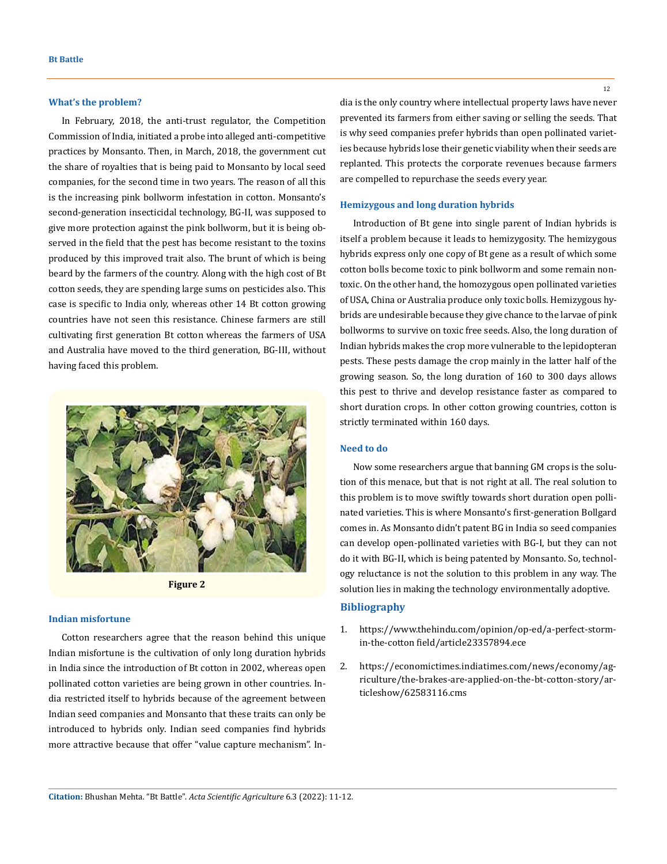#### **What's the problem?**

In February, 2018, the anti-trust regulator, the Competition Commission of India, initiated a probe into alleged anti-competitive practices by Monsanto. Then, in March, 2018, the government cut the share of royalties that is being paid to Monsanto by local seed companies, for the second time in two years. The reason of all this is the increasing pink bollworm infestation in cotton. Monsanto's second-generation insecticidal technology, BG-II, was supposed to give more protection against the pink bollworm, but it is being observed in the field that the pest has become resistant to the toxins produced by this improved trait also. The brunt of which is being beard by the farmers of the country. Along with the high cost of Bt cotton seeds, they are spending large sums on pesticides also. This case is specific to India only, whereas other 14 Bt cotton growing countries have not seen this resistance. Chinese farmers are still cultivating first generation Bt cotton whereas the farmers of USA and Australia have moved to the third generation, BG-III, without having faced this problem.



**Figure 2**

#### **Indian misfortune**

Cotton researchers agree that the reason behind this unique Indian misfortune is the cultivation of only long duration hybrids in India since the introduction of Bt cotton in 2002, whereas open pollinated cotton varieties are being grown in other countries. India restricted itself to hybrids because of the agreement between Indian seed companies and Monsanto that these traits can only be introduced to hybrids only. Indian seed companies find hybrids more attractive because that offer "value capture mechanism". India is the only country where intellectual property laws have never prevented its farmers from either saving or selling the seeds. That is why seed companies prefer hybrids than open pollinated varieties because hybrids lose their genetic viability when their seeds are replanted. This protects the corporate revenues because farmers are compelled to repurchase the seeds every year.

#### **Hemizygous and long duration hybrids**

Introduction of Bt gene into single parent of Indian hybrids is itself a problem because it leads to hemizygosity. The hemizygous hybrids express only one copy of Bt gene as a result of which some cotton bolls become toxic to pink bollworm and some remain nontoxic. On the other hand, the homozygous open pollinated varieties of USA, China or Australia produce only toxic bolls. Hemizygous hybrids are undesirable because they give chance to the larvae of pink bollworms to survive on toxic free seeds. Also, the long duration of Indian hybrids makes the crop more vulnerable to the lepidopteran pests. These pests damage the crop mainly in the latter half of the growing season. So, the long duration of 160 to 300 days allows this pest to thrive and develop resistance faster as compared to short duration crops. In other cotton growing countries, cotton is strictly terminated within 160 days.

#### **Need to do**

Now some researchers argue that banning GM crops is the solution of this menace, but that is not right at all. The real solution to this problem is to move swiftly towards short duration open pollinated varieties. This is where Monsanto's first-generation Bollgard comes in. As Monsanto didn't patent BG in India so seed companies can develop open-pollinated varieties with BG-I, but they can not do it with BG-II, which is being patented by Monsanto. So, technology reluctance is not the solution to this problem in any way. The solution lies in making the technology environmentally adoptive.

## **Bibliography**

- 1. [https://www.thehindu.com/opinion/op-ed/a-perfect-storm](https://www.thehindu.com/opinion/op-ed/a-perfect-storm-in-the-cotton%20field/article23357894.ece)[in-the-cotton field/article23357894.ece](https://www.thehindu.com/opinion/op-ed/a-perfect-storm-in-the-cotton%20field/article23357894.ece)
- 2. [https://economictimes.indiatimes.com/news/economy/ag](https://economictimes.indiatimes.com/news/economy/agriculture/the-brakes-are-applied-on-the-bt-cotton-story/articleshow/62583116.cms)[riculture/the-brakes-are-applied-on-the-bt-cotton-story/ar](https://economictimes.indiatimes.com/news/economy/agriculture/the-brakes-are-applied-on-the-bt-cotton-story/articleshow/62583116.cms)[ticleshow/62583116.cms](https://economictimes.indiatimes.com/news/economy/agriculture/the-brakes-are-applied-on-the-bt-cotton-story/articleshow/62583116.cms)